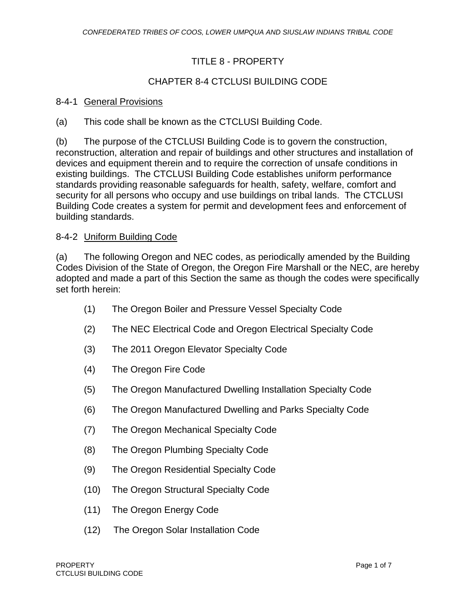# TITLE 8 - PROPERTY

# CHAPTER 8-4 CTCLUSI BUILDING CODE

### 8-4-1 General Provisions

(a) This code shall be known as the CTCLUSI Building Code.

(b) The purpose of the CTCLUSI Building Code is to govern the construction, reconstruction, alteration and repair of buildings and other structures and installation of devices and equipment therein and to require the correction of unsafe conditions in existing buildings. The CTCLUSI Building Code establishes uniform performance standards providing reasonable safeguards for health, safety, welfare, comfort and security for all persons who occupy and use buildings on tribal lands. The CTCLUSI Building Code creates a system for permit and development fees and enforcement of building standards.

### 8-4-2 Uniform Building Code

(a) The following Oregon and NEC codes, as periodically amended by the Building Codes Division of the State of Oregon, the Oregon Fire Marshall or the NEC, are hereby adopted and made a part of this Section the same as though the codes were specifically set forth herein:

- (1) The Oregon Boiler and Pressure Vessel Specialty Code
- (2) The NEC Electrical Code and Oregon Electrical Specialty Code
- (3) The 2011 Oregon Elevator Specialty Code
- (4) The Oregon Fire Code
- (5) The Oregon Manufactured Dwelling Installation Specialty Code
- (6) The Oregon Manufactured Dwelling and Parks Specialty Code
- (7) The Oregon Mechanical Specialty Code
- (8) The Oregon Plumbing Specialty Code
- (9) The Oregon Residential Specialty Code
- (10) The Oregon Structural Specialty Code
- (11) The Oregon Energy Code
- (12) The Oregon Solar Installation Code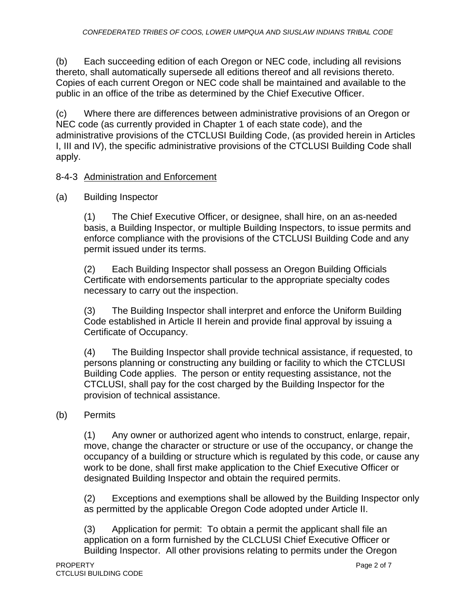(b) Each succeeding edition of each Oregon or NEC code, including all revisions thereto, shall automatically supersede all editions thereof and all revisions thereto. Copies of each current Oregon or NEC code shall be maintained and available to the public in an office of the tribe as determined by the Chief Executive Officer.

(c) Where there are differences between administrative provisions of an Oregon or NEC code (as currently provided in Chapter 1 of each state code), and the administrative provisions of the CTCLUSI Building Code, (as provided herein in Articles I, III and IV), the specific administrative provisions of the CTCLUSI Building Code shall apply.

### 8-4-3 Administration and Enforcement

### (a) Building Inspector

(1) The Chief Executive Officer, or designee, shall hire, on an as-needed basis, a Building Inspector, or multiple Building Inspectors, to issue permits and enforce compliance with the provisions of the CTCLUSI Building Code and any permit issued under its terms.

(2) Each Building Inspector shall possess an Oregon Building Officials Certificate with endorsements particular to the appropriate specialty codes necessary to carry out the inspection.

(3) The Building Inspector shall interpret and enforce the Uniform Building Code established in Article II herein and provide final approval by issuing a Certificate of Occupancy.

(4) The Building Inspector shall provide technical assistance, if requested, to persons planning or constructing any building or facility to which the CTCLUSI Building Code applies. The person or entity requesting assistance, not the CTCLUSI, shall pay for the cost charged by the Building Inspector for the provision of technical assistance.

## (b) Permits

(1) Any owner or authorized agent who intends to construct, enlarge, repair, move, change the character or structure or use of the occupancy, or change the occupancy of a building or structure which is regulated by this code, or cause any work to be done, shall first make application to the Chief Executive Officer or designated Building Inspector and obtain the required permits.

(2) Exceptions and exemptions shall be allowed by the Building Inspector only as permitted by the applicable Oregon Code adopted under Article II.

(3) Application for permit: To obtain a permit the applicant shall file an application on a form furnished by the CLCLUSI Chief Executive Officer or Building Inspector. All other provisions relating to permits under the Oregon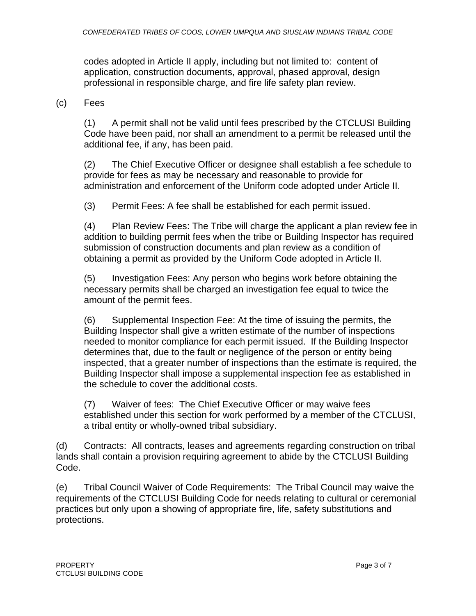codes adopted in Article II apply, including but not limited to: content of application, construction documents, approval, phased approval, design professional in responsible charge, and fire life safety plan review.

(c) Fees

(1) A permit shall not be valid until fees prescribed by the CTCLUSI Building Code have been paid, nor shall an amendment to a permit be released until the additional fee, if any, has been paid.

(2) The Chief Executive Officer or designee shall establish a fee schedule to provide for fees as may be necessary and reasonable to provide for administration and enforcement of the Uniform code adopted under Article II.

(3) Permit Fees: A fee shall be established for each permit issued.

(4) Plan Review Fees: The Tribe will charge the applicant a plan review fee in addition to building permit fees when the tribe or Building Inspector has required submission of construction documents and plan review as a condition of obtaining a permit as provided by the Uniform Code adopted in Article II.

(5) Investigation Fees: Any person who begins work before obtaining the necessary permits shall be charged an investigation fee equal to twice the amount of the permit fees.

(6) Supplemental Inspection Fee: At the time of issuing the permits, the Building Inspector shall give a written estimate of the number of inspections needed to monitor compliance for each permit issued. If the Building Inspector determines that, due to the fault or negligence of the person or entity being inspected, that a greater number of inspections than the estimate is required, the Building Inspector shall impose a supplemental inspection fee as established in the schedule to cover the additional costs.

(7) Waiver of fees: The Chief Executive Officer or may waive fees established under this section for work performed by a member of the CTCLUSI, a tribal entity or wholly-owned tribal subsidiary.

(d) Contracts: All contracts, leases and agreements regarding construction on tribal lands shall contain a provision requiring agreement to abide by the CTCLUSI Building Code.

(e) Tribal Council Waiver of Code Requirements: The Tribal Council may waive the requirements of the CTCLUSI Building Code for needs relating to cultural or ceremonial practices but only upon a showing of appropriate fire, life, safety substitutions and protections.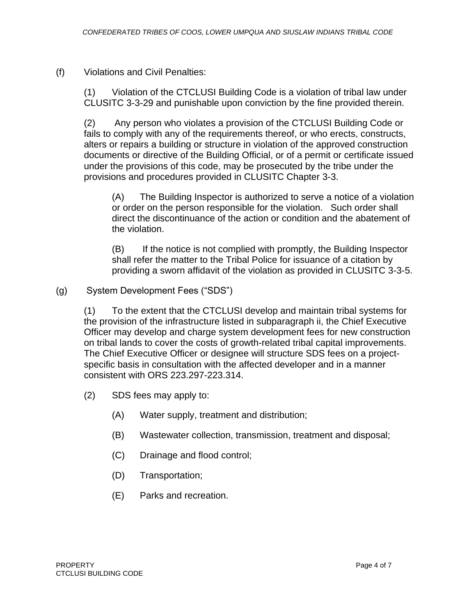(f) Violations and Civil Penalties:

(1) Violation of the CTCLUSI Building Code is a violation of tribal law under CLUSITC 3-3-29 and punishable upon conviction by the fine provided therein.

(2) Any person who violates a provision of the CTCLUSI Building Code or fails to comply with any of the requirements thereof, or who erects, constructs, alters or repairs a building or structure in violation of the approved construction documents or directive of the Building Official, or of a permit or certificate issued under the provisions of this code, may be prosecuted by the tribe under the provisions and procedures provided in CLUSITC Chapter 3-3.

(A) The Building Inspector is authorized to serve a notice of a violation or order on the person responsible for the violation. Such order shall direct the discontinuance of the action or condition and the abatement of the violation.

(B) If the notice is not complied with promptly, the Building Inspector shall refer the matter to the Tribal Police for issuance of a citation by providing a sworn affidavit of the violation as provided in CLUSITC 3-3-5.

(g) System Development Fees ("SDS")

(1) To the extent that the CTCLUSI develop and maintain tribal systems for the provision of the infrastructure listed in subparagraph ii, the Chief Executive Officer may develop and charge system development fees for new construction on tribal lands to cover the costs of growth-related tribal capital improvements. The Chief Executive Officer or designee will structure SDS fees on a projectspecific basis in consultation with the affected developer and in a manner consistent with ORS 223.297-223.314.

(2) SDS fees may apply to:

- (A) Water supply, treatment and distribution;
- (B) Wastewater collection, transmission, treatment and disposal;
- (C) Drainage and flood control;
- (D) Transportation;
- (E) Parks and recreation.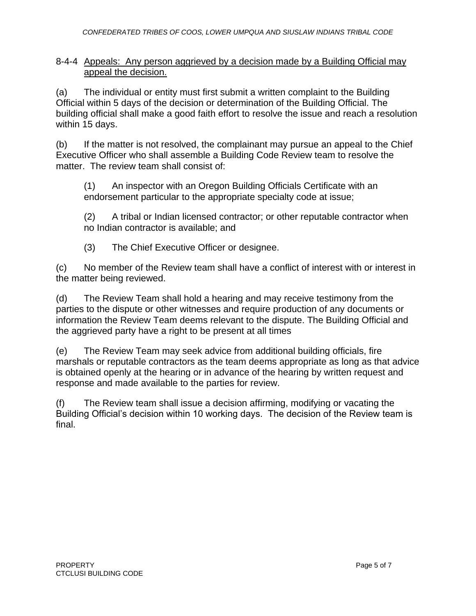#### 8-4-4 Appeals: Any person aggrieved by a decision made by a Building Official may appeal the decision.

(a) The individual or entity must first submit a written complaint to the Building Official within 5 days of the decision or determination of the Building Official. The building official shall make a good faith effort to resolve the issue and reach a resolution within 15 days.

(b) If the matter is not resolved, the complainant may pursue an appeal to the Chief Executive Officer who shall assemble a Building Code Review team to resolve the matter. The review team shall consist of:

(1) An inspector with an Oregon Building Officials Certificate with an endorsement particular to the appropriate specialty code at issue;

(2) A tribal or Indian licensed contractor; or other reputable contractor when no Indian contractor is available; and

(3) The Chief Executive Officer or designee.

(c) No member of the Review team shall have a conflict of interest with or interest in the matter being reviewed.

(d) The Review Team shall hold a hearing and may receive testimony from the parties to the dispute or other witnesses and require production of any documents or information the Review Team deems relevant to the dispute. The Building Official and the aggrieved party have a right to be present at all times

(e) The Review Team may seek advice from additional building officials, fire marshals or reputable contractors as the team deems appropriate as long as that advice is obtained openly at the hearing or in advance of the hearing by written request and response and made available to the parties for review.

(f) The Review team shall issue a decision affirming, modifying or vacating the Building Official's decision within 10 working days. The decision of the Review team is final.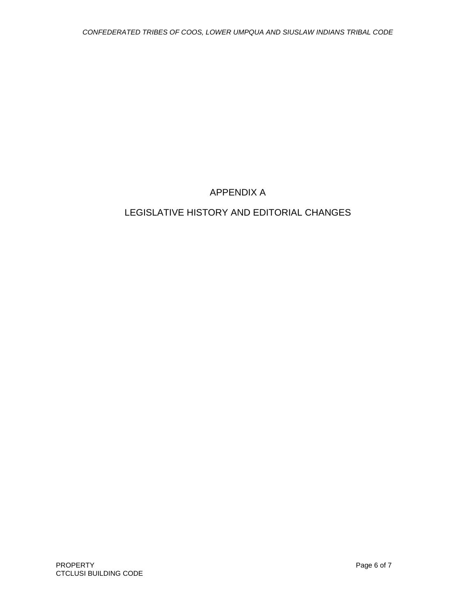# APPENDIX A

# LEGISLATIVE HISTORY AND EDITORIAL CHANGES